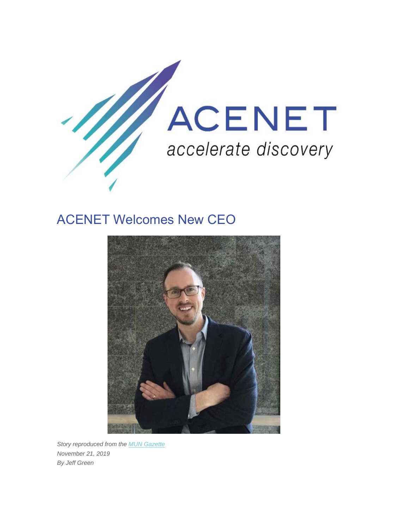

# ACENET Welcomes New CEO



*Story reproduced from the MUN Gazette November 21, 2019 By Jeff Green*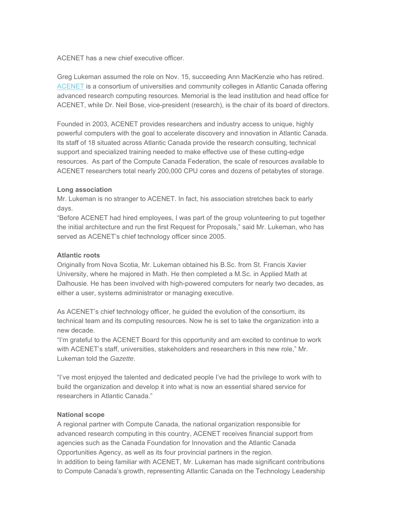ACENET has a new chief executive officer.

Greg Lukeman assumed the role on Nov. 15, succeeding Ann MacKenzie who has retired. ACENET is a consortium of universities and community colleges in Atlantic Canada offering advanced research computing resources. Memorial is the lead institution and head office for ACENET, while Dr. Neil Bose, vice-president (research), is the chair of its board of directors.

Founded in 2003, ACENET provides researchers and industry access to unique, highly powerful computers with the goal to accelerate discovery and innovation in Atlantic Canada. Its staff of 18 situated across Atlantic Canada provide the research consulting, technical support and specialized training needed to make effective use of these cutting-edge resources. As part of the Compute Canada Federation, the scale of resources available to ACENET researchers total nearly 200,000 CPU cores and dozens of petabytes of storage.

## **Long association**

Mr. Lukeman is no stranger to ACENET. In fact, his association stretches back to early days.

"Before ACENET had hired employees, I was part of the group volunteering to put together the initial architecture and run the first Request for Proposals," said Mr. Lukeman, who has served as ACENET's chief technology officer since 2005.

## **Atlantic roots**

Originally from Nova Scotia, Mr. Lukeman obtained his B.Sc. from St. Francis Xavier University, where he majored in Math. He then completed a M.Sc. in Applied Math at Dalhousie. He has been involved with high-powered computers for nearly two decades, as either a user, systems administrator or managing executive.

As ACENET's chief technology officer, he guided the evolution of the consortium, its technical team and its computing resources. Now he is set to take the organization into a new decade.

"I'm grateful to the ACENET Board for this opportunity and am excited to continue to work with ACENET's staff, universities, stakeholders and researchers in this new role," Mr. Lukeman told the *Gazette*.

"I've most enjoyed the talented and dedicated people I've had the privilege to work with to build the organization and develop it into what is now an essential shared service for researchers in Atlantic Canada."

## **National scope**

A regional partner with Compute Canada, the national organization responsible for advanced research computing in this country, ACENET receives financial support from agencies such as the Canada Foundation for Innovation and the Atlantic Canada Opportunities Agency, as well as its four provincial partners in the region. In addition to being familiar with ACENET, Mr. Lukeman has made significant contributions to Compute Canada's growth, representing Atlantic Canada on the Technology Leadership